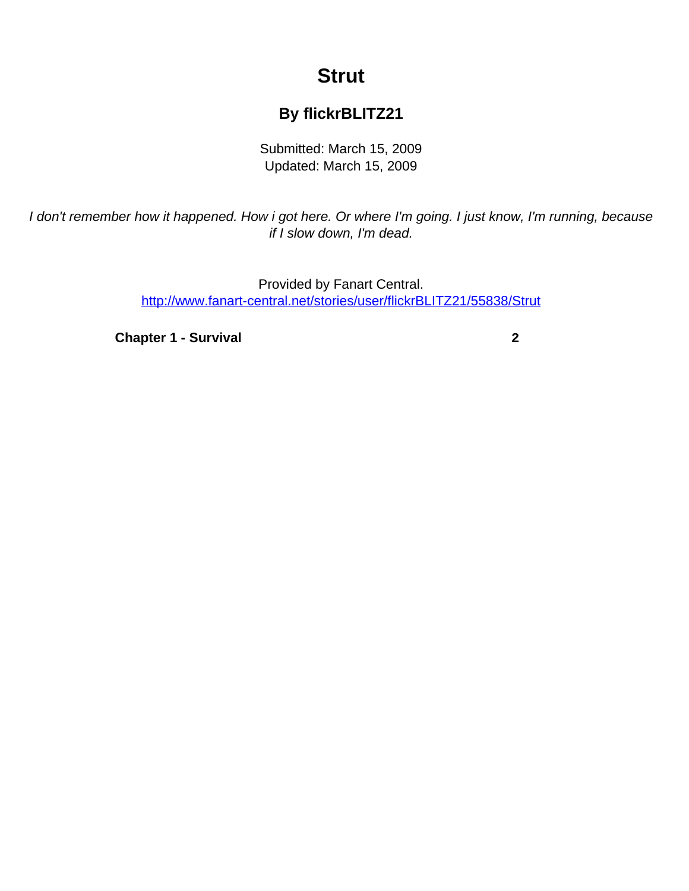# **Strut**

## **By flickrBLITZ21**

Submitted: March 15, 2009 Updated: March 15, 2009

<span id="page-0-0"></span>I don't remember how it happened. How i got here. Or where I'm going. I just know, I'm running, because if I slow down, I'm dead.

> Provided by Fanart Central. [http://www.fanart-central.net/stories/user/flickrBLITZ21/55838/Strut](#page-0-0)

**[Chapter 1 - Survival](#page-1-0)** [2](#page-1-0)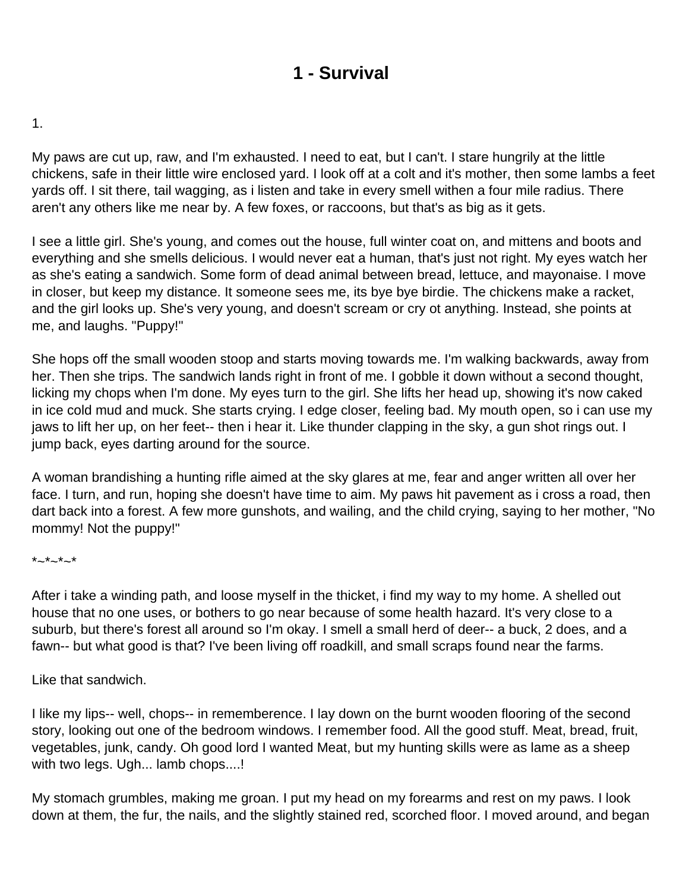# **1 - Survival**

### <span id="page-1-0"></span>1.

My paws are cut up, raw, and I'm exhausted. I need to eat, but I can't. I stare hungrily at the little chickens, safe in their little wire enclosed yard. I look off at a colt and it's mother, then some lambs a feet yards off. I sit there, tail wagging, as i listen and take in every smell withen a four mile radius. There aren't any others like me near by. A few foxes, or raccoons, but that's as big as it gets.

I see a little girl. She's young, and comes out the house, full winter coat on, and mittens and boots and everything and she smells delicious. I would never eat a human, that's just not right. My eyes watch her as she's eating a sandwich. Some form of dead animal between bread, lettuce, and mayonaise. I move in closer, but keep my distance. It someone sees me, its bye bye birdie. The chickens make a racket, and the girl looks up. She's very young, and doesn't scream or cry ot anything. Instead, she points at me, and laughs. "Puppy!"

She hops off the small wooden stoop and starts moving towards me. I'm walking backwards, away from her. Then she trips. The sandwich lands right in front of me. I gobble it down without a second thought, licking my chops when I'm done. My eyes turn to the girl. She lifts her head up, showing it's now caked in ice cold mud and muck. She starts crying. I edge closer, feeling bad. My mouth open, so i can use my jaws to lift her up, on her feet-- then i hear it. Like thunder clapping in the sky, a gun shot rings out. I jump back, eyes darting around for the source.

A woman brandishing a hunting rifle aimed at the sky glares at me, fear and anger written all over her face. I turn, and run, hoping she doesn't have time to aim. My paws hit pavement as i cross a road, then dart back into a forest. A few more gunshots, and wailing, and the child crying, saying to her mother, "No mommy! Not the puppy!"

#### $*_{-}*_{-}*_{-}*$

After i take a winding path, and loose myself in the thicket, i find my way to my home. A shelled out house that no one uses, or bothers to go near because of some health hazard. It's very close to a suburb, but there's forest all around so I'm okay. I smell a small herd of deer-- a buck, 2 does, and a fawn-- but what good is that? I've been living off roadkill, and small scraps found near the farms.

Like that sandwich.

I like my lips-- well, chops-- in rememberence. I lay down on the burnt wooden flooring of the second story, looking out one of the bedroom windows. I remember food. All the good stuff. Meat, bread, fruit, vegetables, junk, candy. Oh good lord I wanted Meat, but my hunting skills were as lame as a sheep with two legs. Ugh... lamb chops....!

My stomach grumbles, making me groan. I put my head on my forearms and rest on my paws. I look down at them, the fur, the nails, and the slightly stained red, scorched floor. I moved around, and began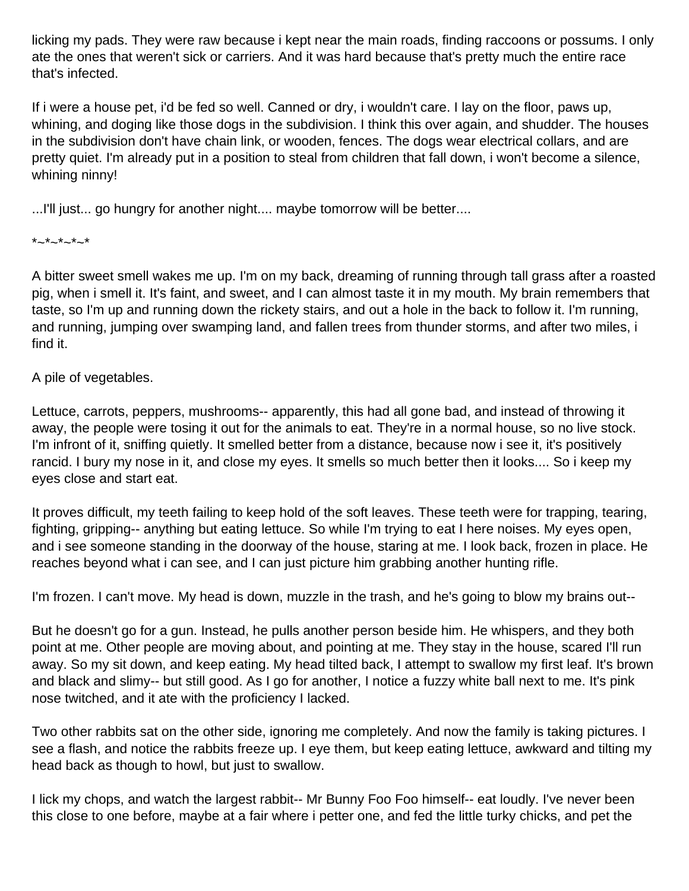licking my pads. They were raw because i kept near the main roads, finding raccoons or possums. I only ate the ones that weren't sick or carriers. And it was hard because that's pretty much the entire race that's infected.

If i were a house pet, i'd be fed so well. Canned or dry, i wouldn't care. I lay on the floor, paws up, whining, and doging like those dogs in the subdivision. I think this over again, and shudder. The houses in the subdivision don't have chain link, or wooden, fences. The dogs wear electrical collars, and are pretty quiet. I'm already put in a position to steal from children that fall down, i won't become a silence, whining ninny!

...I'll just... go hungry for another night.... maybe tomorrow will be better....

### $*_{-}*_{-}*_{-}*_{-}*$

A bitter sweet smell wakes me up. I'm on my back, dreaming of running through tall grass after a roasted pig, when i smell it. It's faint, and sweet, and I can almost taste it in my mouth. My brain remembers that taste, so I'm up and running down the rickety stairs, and out a hole in the back to follow it. I'm running, and running, jumping over swamping land, and fallen trees from thunder storms, and after two miles, i find it.

## A pile of vegetables.

Lettuce, carrots, peppers, mushrooms-- apparently, this had all gone bad, and instead of throwing it away, the people were tosing it out for the animals to eat. They're in a normal house, so no live stock. I'm infront of it, sniffing quietly. It smelled better from a distance, because now i see it, it's positively rancid. I bury my nose in it, and close my eyes. It smells so much better then it looks.... So i keep my eyes close and start eat.

It proves difficult, my teeth failing to keep hold of the soft leaves. These teeth were for trapping, tearing, fighting, gripping-- anything but eating lettuce. So while I'm trying to eat I here noises. My eyes open, and i see someone standing in the doorway of the house, staring at me. I look back, frozen in place. He reaches beyond what i can see, and I can just picture him grabbing another hunting rifle.

I'm frozen. I can't move. My head is down, muzzle in the trash, and he's going to blow my brains out--

But he doesn't go for a gun. Instead, he pulls another person beside him. He whispers, and they both point at me. Other people are moving about, and pointing at me. They stay in the house, scared I'll run away. So my sit down, and keep eating. My head tilted back, I attempt to swallow my first leaf. It's brown and black and slimy-- but still good. As I go for another, I notice a fuzzy white ball next to me. It's pink nose twitched, and it ate with the proficiency I lacked.

Two other rabbits sat on the other side, ignoring me completely. And now the family is taking pictures. I see a flash, and notice the rabbits freeze up. I eye them, but keep eating lettuce, awkward and tilting my head back as though to howl, but just to swallow.

I lick my chops, and watch the largest rabbit-- Mr Bunny Foo Foo himself-- eat loudly. I've never been this close to one before, maybe at a fair where i petter one, and fed the little turky chicks, and pet the